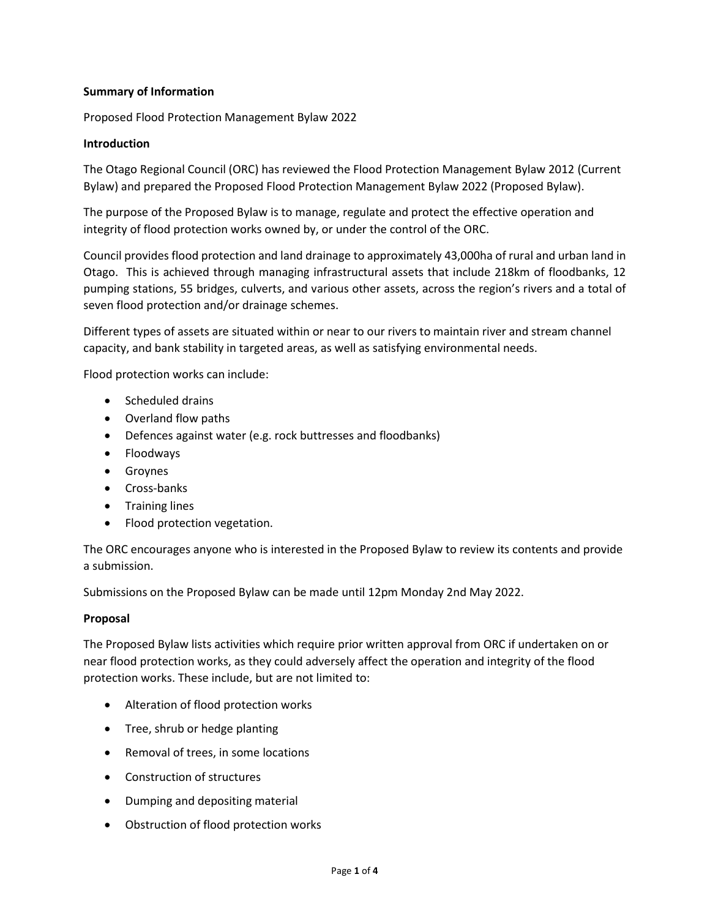# **Summary of Information**

Proposed Flood Protection Management Bylaw 2022

## **Introduction**

The Otago Regional Council (ORC) has reviewed the Flood Protection Management Bylaw 2012 (Current Bylaw) and prepared the Proposed Flood Protection Management Bylaw 2022 (Proposed Bylaw).

The purpose of the Proposed Bylaw is to manage, regulate and protect the effective operation and integrity of flood protection works owned by, or under the control of the ORC.

Council provides flood protection and land drainage to approximately 43,000ha of rural and urban land in Otago. This is achieved through managing infrastructural assets that include 218km of floodbanks, 12 pumping stations, 55 bridges, culverts, and various other assets, across the region's rivers and a total of seven flood protection and/or drainage schemes.

Different types of assets are situated within or near to our rivers to maintain river and stream channel capacity, and bank stability in targeted areas, as well as satisfying environmental needs.

Flood protection works can include:

- Scheduled drains
- Overland flow paths
- Defences against water (e.g. rock buttresses and floodbanks)
- Floodways
- Groynes
- Cross-banks
- Training lines
- Flood protection vegetation.

The ORC encourages anyone who is interested in the Proposed Bylaw to review its contents and provide a submission.

Submissions on the Proposed Bylaw can be made until 12pm Monday 2nd May 2022.

## **Proposal**

The Proposed Bylaw lists activities which require prior written approval from ORC if undertaken on or near flood protection works, as they could adversely affect the operation and integrity of the flood protection works. These include, but are not limited to:

- Alteration of flood protection works
- Tree, shrub or hedge planting
- Removal of trees, in some locations
- Construction of structures
- Dumping and depositing material
- Obstruction of flood protection works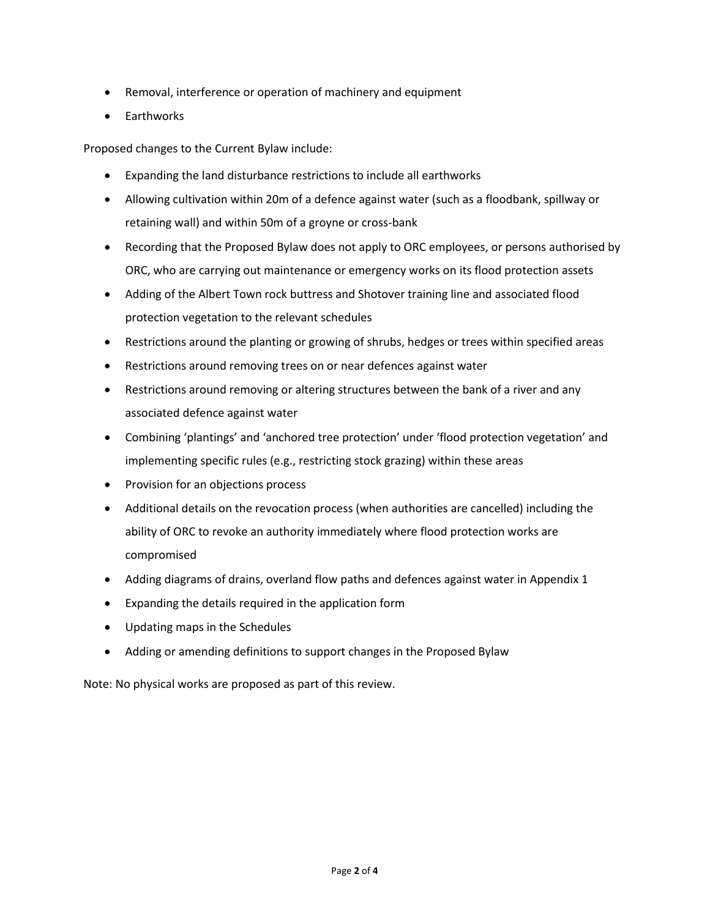- Removal, interference or operation of machinery and equipment
- Earthworks

Proposed changes to the Current Bylaw include:

- Expanding the land disturbance restrictions to include all earthworks
- Allowing cultivation within 20m of a defence against water (such as a floodbank, spillway or retaining wall) and within 50m of a groyne or cross-bank
- Recording that the Proposed Bylaw does not apply to ORC employees, or persons authorised by ORC, who are carrying out maintenance or emergency works on its flood protection assets
- Adding of the Albert Town rock buttress and Shotover training line and associated flood protection vegetation to the relevant schedules
- Restrictions around the planting or growing of shrubs, hedges or trees within specified areas
- Restrictions around removing trees on or near defences against water
- Restrictions around removing or altering structures between the bank of a river and any associated defence against water
- Combining 'plantings' and 'anchored tree protection' under 'flood protection vegetation' and implementing specific rules (e.g., restricting stock grazing) within these areas
- Provision for an objections process
- Additional details on the revocation process (when authorities are cancelled) including the ability of ORC to revoke an authority immediately where flood protection works are compromised
- Adding diagrams of drains, overland flow paths and defences against water in Appendix 1
- Expanding the details required in the application form
- Updating maps in the Schedules
- Adding or amending definitions to support changes in the Proposed Bylaw

Note: No physical works are proposed as part of this review.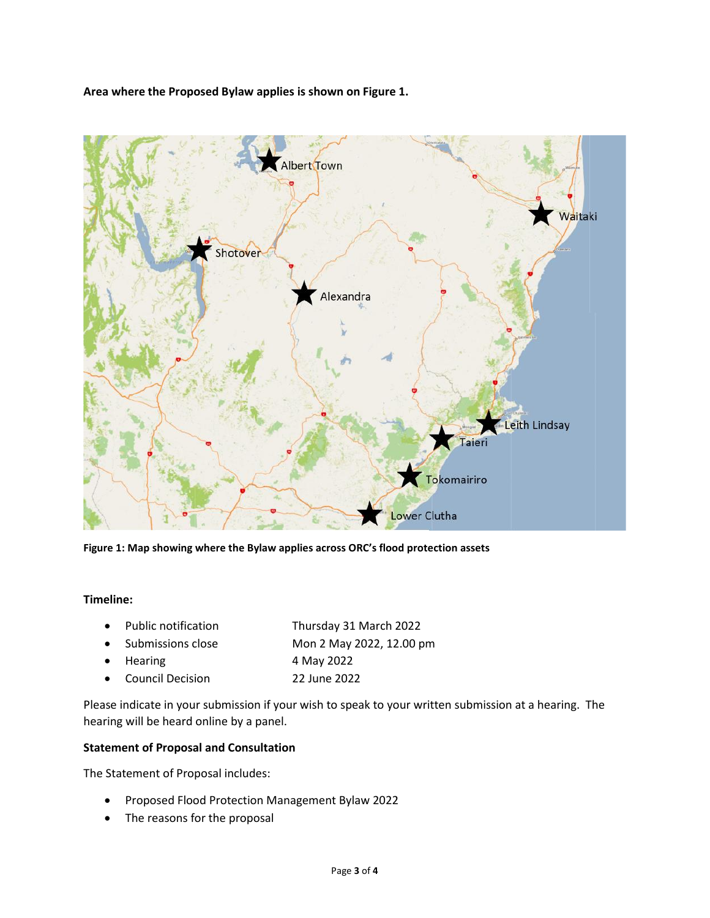**Area where the Proposed Bylaw applies is shown on Figure 1.**



**Figure 1: Map showing where the Bylaw applies across ORC's flood protection assets**

#### **Timeline:**

| $\bullet$ | Public notification | Thursday 31 March 2022   |
|-----------|---------------------|--------------------------|
|           | • Submissions close | Mon 2 May 2022, 12.00 pm |
|           | $\bullet$ Hearing   | 4 May 2022               |
|           | • Council Decision  | 22 June 2022             |
|           |                     |                          |

Please indicate in your submission if your wish to speak to your written submission at a hearing. The hearing will be heard online by a panel.

### **Statement of Proposal and Consultation**

The Statement of Proposal includes:

- Proposed Flood Protection Management Bylaw 2022
- The reasons for the proposal